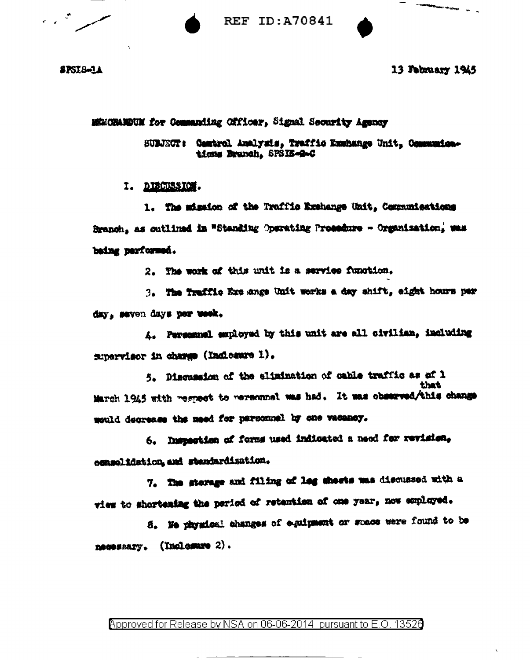



**SPSIS-14** 

13 February 1945

MEMORANDUM for Commanding Officer, Signal Security Agency

SUBJECT: Camtrol Analyzis, Traffic Exchange Unit, Communications Branch, SPSIE-G-C

I. DIECUSSICH.

1. The mission of the Traffic Exchange Unit, Communications Branch, as cutlined in "Standing Operating Prosedure - Organization, was baing parformed.

2. The work of this unit is a service function.

3. The Traffic Exc ange Unit works a day shift, eight hours per day, seven days per week.

A. Personnel employed by this unit are all civilian, including supervisor in charge (Indicator 1).

5. Discussion of the alimination of cable traffic as of 1 that March 1945 with regnect to reremnal was had. It was observed/this change mould decrease the meed for personnel by one vacancy.

6. Inspection of forms used indicated a need for revision, consolidation, and standardization.

7. The sterage and filing of leg sheets was discussed with a view to shortening the period of retention of one year, now employed.

8. Ne physical changes of equipment or space were found to be necessary. (Inclosure 2).

### Approved for Release by NSA on 06-06-2014 pursuant to E.O. 13526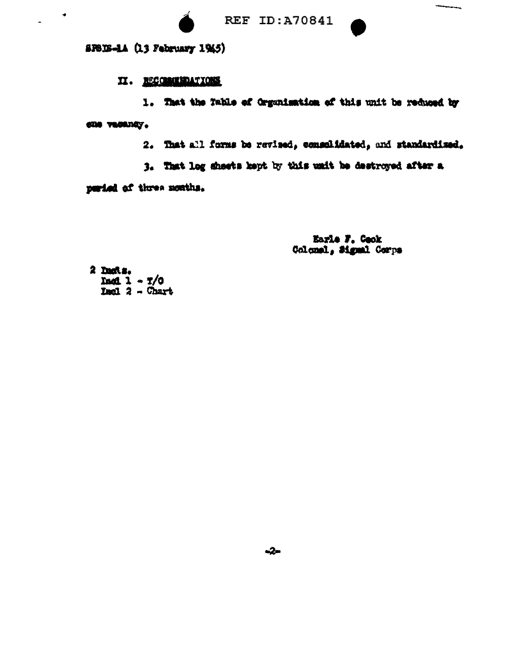

*<u>Village Communication</u>* 

SPBES-1A (13 February 1945)

 $\bullet$ 

 $\overline{a}$ 

### II. RECOMMENDATIONS

1. That the Table of Organisation of this unit be reduced by COR VEGADAY.

2. That all forms be revised, commonlidated, and standardized.

3. That log sheets kept by this unit be destroyed after a

peried of three nonths.

Earle F. Cook Colomal, Signal Corps

2 Dachs. Dadl  $1 - 7/0$  $Tual  $2 -$  Chart$